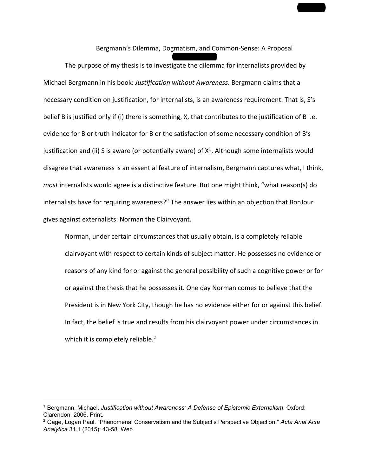Bergmann's Dilemma, Dogmatism, and Common‐Sense: A Proposal Hunter Gentry The purpose of my thesis is to investigate the dilemma for internalists provided by Michael Bergmann in his book: *Justification without Awareness*. Bergmann claims that a necessary condition on justification, for internalists, is an awareness requirement. That is, S's belief B is justified only if (i) there is something, X, that contributes to the justification of B i.e. evidence for B or truth indicator for B or the satisfaction of some necessary condition of B's justification and (ii) S is aware (or potentially aware) of  $X^1$ . Although some internalists would disagree that awareness is an essential feature of internalism, Bergmann captures what, I think, *most* internalists would agree is a distinctive feature. But one might think, "what reason(s) do internalists have for requiring awareness?" The answer lies within an objection that BonJour gives against externalists: Norman the Clairvoyant.

Gentry 1

Norman, under certain circumstances that usually obtain, is a completely reliable clairvoyant with respect to certain kinds of subject matter. He possesses no evidence or reasons of any kind for or against the general possibility of such a cognitive power or for or against the thesis that he possesses it. One day Norman comes to believe that the President is in New York City, though he has no evidence either for or against this belief. In fact, the belief is true and results from his clairvoyant power under circumstances in which it is completely reliable.<sup>2</sup>

<sup>1</sup> Bergmann, Michael. *Justification without Awareness: A Defense of Epistemic Externalism*. Oxford: Clarendon, 2006. Print.

<sup>2</sup> Gage, Logan Paul. "Phenomenal Conservatism and the Subject's Perspective Objection." *Acta Anal Acta* Analytica 31.1 (2015): 43-58. Web.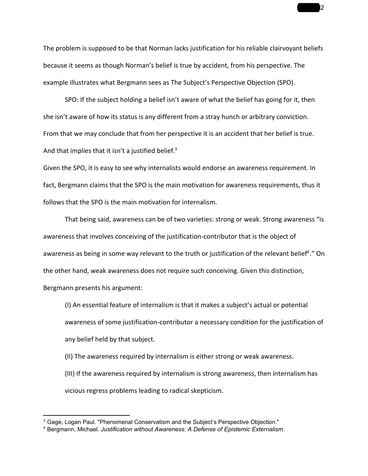The problem is supposed to be that Norman lacks justification for his reliable clairvoyant beliefs because it seems as though Norman's belief is true by accident, from his perspective. The example illustrates what Bergmann sees as The Subject's Perspective Objection (SPO).

SPO: If the subject holding a belief isn't aware of what the belief has going for it, then she isn't aware of how its status is any different from a stray hunch or arbitrary conviction. From that we may conclude that from her perspective it is an accident that her belief is true. And that implies that it isn't a justified belief.<sup>3</sup>

Given the SPO, it is easy to see why internalists would endorse an awareness requirement. In fact, Bergmann claims that the SPO is the main motivation for awareness requirements, thus it follows that the SPO is the main motivation for internalism.

That being said, awareness can be of two varieties: strong or weak. Strong awareness "is awareness that involves conceiving of the justification‐contributor that is the object of awareness as being in some way relevant to the truth or justification of the relevant belief<sup>4</sup>." On the other hand, weak awareness does not require such conceiving. Given this distinction, Bergmann presents his argument:

(I) An essential feature of internalism is that it makes a subject's actual or potential awareness of some justification‐contributor a necessary condition for the justification of any belief held by that subject.

(II) The awareness required by internalism is either strong or weak awareness.

(III) If the awareness required by internalism is strong awareness, then internalism has vicious regress problems leading to radical skepticism.

 $\overline{\mathbf{2}}$ 

<sup>&</sup>lt;sup>3</sup> Gage, Logan Paul. "Phenomenal Conservatism and the Subject's Perspective Objection."

<sup>4</sup> Bergmann, Michael. *Justification without Awareness: A Defense of Epistemic Externalism*.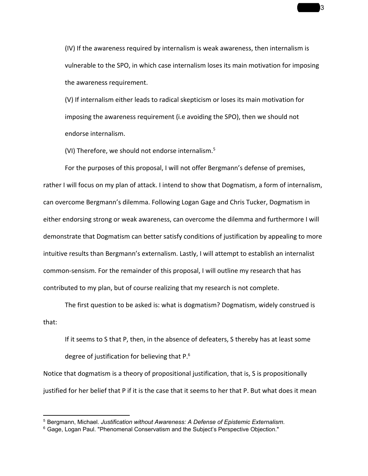(IV) If the awareness required by internalism is weak awareness, then internalism is vulnerable to the SPO, in which case internalism loses its main motivation for imposing the awareness requirement.

(V) If internalism either leads to radical skepticism or loses its main motivation for imposing the awareness requirement (i.e avoiding the SPO), then we should not endorse internalism.

(VI) Therefore, we should not endorse internalism. 5

For the purposes of this proposal, I will not offer Bergmann's defense of premises, rather I will focus on my plan of attack. I intend to show that Dogmatism, a form of internalism, can overcome Bergmann's dilemma. Following Logan Gage and Chris Tucker, Dogmatism in either endorsing strong or weak awareness, can overcome the dilemma and furthermore I will demonstrate that Dogmatism can better satisfy conditions of justification by appealing to more intuitive results than Bergmann's externalism. Lastly, I will attempt to establish an internalist common‐sensism. For the remainder of this proposal, I will outline my research that has contributed to my plan, but of course realizing that my research is not complete.

The first question to be asked is: what is dogmatism? Dogmatism, widely construed is that:

If it seems to S that P, then, in the absence of defeaters, S thereby has at least some degree of justification for believing that P.<sup>6</sup>

Notice that dogmatism is a theory of propositional justification, that is, S is propositionally justified for her belief that P if it is the case that it seems to her that P. But what does it mean

 $\overline{\mathbf{3}}$ 

<sup>5</sup> Bergmann, Michael. *Justification without Awareness: A Defense of Epistemic Externalism*.

<sup>&</sup>lt;sup>6</sup> Gage, Logan Paul. "Phenomenal Conservatism and the Subject's Perspective Objection."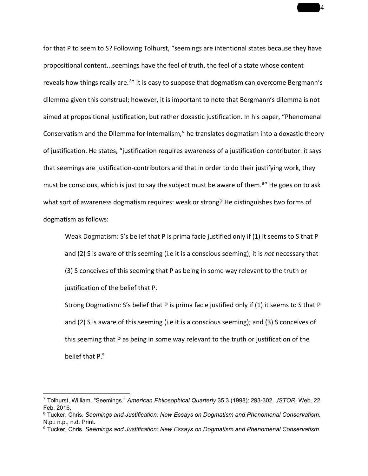for that P to seem to S? Following Tolhurst, "seemings are intentional states because they have propositional content...seemings have the feel of truth, the feel of a state whose content reveals how things really are.<sup>7</sup>" It is easy to suppose that dogmatism can overcome Bergmann's dilemma given this construal; however, it is important to note that Bergmann's dilemma is not aimed at propositional justification, but rather doxastic justification. In his paper, "Phenomenal Conservatism and the Dilemma for Internalism," he translates dogmatism into a doxastic theory of justification. He states, "justification requires awareness of a justification‐contributor: it says that seemings are justification‐contributors and that in order to do their justifying work, they must be conscious, which is just to say the subject must be aware of them.<sup>8</sup>" He goes on to ask what sort of awareness dogmatism requires: weak or strong? He distinguishes two forms of dogmatism as follows:

 $\overline{4}$ 

Weak Dogmatism: S's belief that P is prima facie justified only if (1) it seems to S that P and (2) S is aware of this seeming (i.e it is a conscious seeming); it is *not* necessary that (3) S conceives of this seeming that P as being in some way relevant to the truth or justification of the belief that P.

Strong Dogmatism: S's belief that P is prima facie justified only if (1) it seems to S that P and (2) S is aware of this seeming (i.e it is a conscious seeming); and (3) S conceives of this seeming that P as being in some way relevant to the truth or justification of the belief that P.<sup>9</sup>

<sup>7</sup> Tolhurst, William. "Seemings." *American Philosophical Quarterly* 35.3 (1998): 293302. *JSTOR*. Web. 22 Feb. 2016.

<sup>8</sup> Tucker, Chris. *Seemings and Justification: New Essays on Dogmatism and Phenomenal Conservatism*. N.p.: n.p., n.d. Print.

<sup>9</sup> Tucker, Chris. *Seemings and Justification: New Essays on Dogmatism and Phenomenal Conservatism*.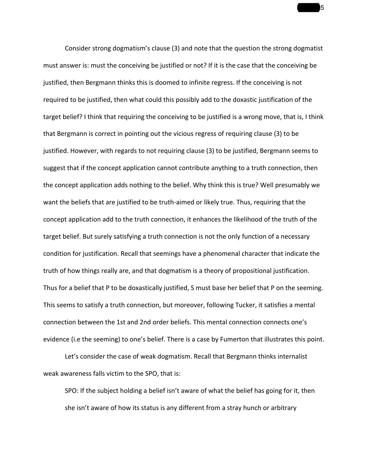Consider strong dogmatism's clause (3) and note that the question the strong dogmatist must answer is: must the conceiving be justified or not? If it is the case that the conceiving be justified, then Bergmann thinks this is doomed to infinite regress. If the conceiving is not required to be justified, then what could this possibly add to the doxastic justification of the target belief? I think that requiring the conceiving to be justified is a wrong move, that is, I think that Bergmann is correct in pointing out the vicious regress of requiring clause (3) to be justified. However, with regards to not requiring clause (3) to be justified, Bergmann seems to suggest that if the concept application cannot contribute anything to a truth connection, then the concept application adds nothing to the belief. Why think this is true? Well presumably we want the beliefs that are justified to be truth-aimed or likely true. Thus, requiring that the concept application add to the truth connection, it enhances the likelihood of the truth of the target belief. But surely satisfying a truth connection is not the only function of a necessary condition for justification. Recall that seemings have a phenomenal character that indicate the truth of how things really are, and that dogmatism is a theory of propositional justification. Thus for a belief that P to be doxastically justified, S must base her belief that P on the seeming. This seems to satisfy a truth connection, but moreover, following Tucker, it satisfies a mental connection between the 1st and 2nd order beliefs. This mental connection connects one's evidence (i.e the seeming) to one's belief. There is a case by Fumerton that illustrates this point.

Let's consider the case of weak dogmatism. Recall that Bergmann thinks internalist weak awareness falls victim to the SPO, that is:

SPO: If the subject holding a belief isn't aware of what the belief has going for it, then she isn't aware of how its status is any different from a stray hunch or arbitrary

 $\overline{\phantom{0}}$  5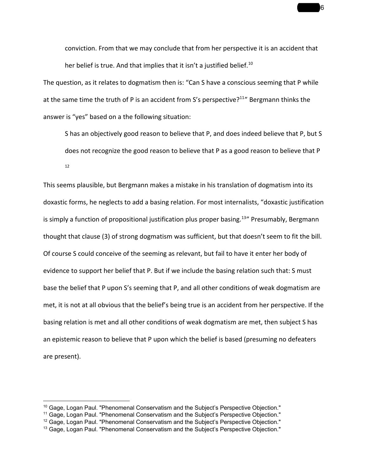conviction. From that we may conclude that from her perspective it is an accident that her belief is true. And that implies that it isn't a justified belief.<sup>10</sup>

The question, as it relates to dogmatism then is: "Can S have a conscious seeming that P while at the same time the truth of P is an accident from S's perspective?<sup>11</sup>" Bergmann thinks the answer is "yes" based on a the following situation:

S has an objectively good reason to believe that P, and does indeed believe that P, but S does not recognize the good reason to believe that P as a good reason to believe that P 12

This seems plausible, but Bergmann makes a mistake in his translation of dogmatism into its doxastic forms, he neglects to add a basing relation. For most internalists, "doxastic justification is simply a function of propositional justification plus proper basing.<sup>13</sup>" Presumably, Bergmann thought that clause (3) of strong dogmatism was sufficient, but that doesn't seem to fit the bill. Of course S could conceive of the seeming as relevant, but fail to have it enter her body of evidence to support her belief that P. But if we include the basing relation such that: S must base the belief that P upon S's seeming that P, and all other conditions of weak dogmatism are met, it is not at all obvious that the belief's being true is an accident from her perspective. If the basing relation is met and all other conditions of weak dogmatism are met, then subject S has an epistemic reason to believe that P upon which the belief is based (presuming no defeaters are present).

Gentry 6

 $10$  Gage, Logan Paul. "Phenomenal Conservatism and the Subiect's Perspective Objection."

<sup>&</sup>lt;sup>11</sup> Gage, Logan Paul. "Phenomenal Conservatism and the Subject's Perspective Objection."

 $12$  Gage, Logan Paul. "Phenomenal Conservatism and the Subject's Perspective Objection."

<sup>&</sup>lt;sup>13</sup> Gage, Logan Paul. "Phenomenal Conservatism and the Subject's Perspective Objection."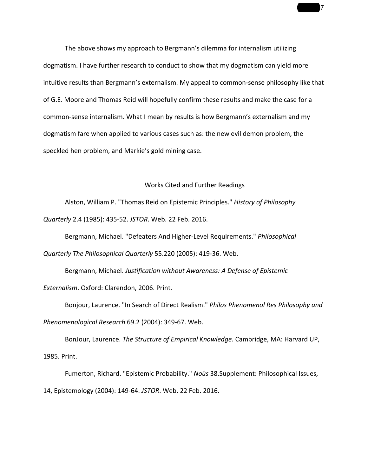The above shows my approach to Bergmann's dilemma for internalism utilizing dogmatism. I have further research to conduct to show that my dogmatism can yield more intuitive results than Bergmann's externalism. My appeal to common‐sense philosophy like that of G.E. Moore and Thomas Reid will hopefully confirm these results and make the case for a common-sense internalism. What I mean by results is how Bergmann's externalism and my dogmatism fare when applied to various cases such as: the new evil demon problem, the speckled hen problem, and Markie's gold mining case.

 $\overline{7}$ 

## Works Cited and Further Readings

Alston, William P. "Thomas Reid on Epistemic Principles." *History of Philosophy Quarterly* 2.4 (1985): 435‐52. *JSTOR*. Web. 22 Feb. 2016.

Bergmann, Michael. "Defeaters And Higher‐Level Requirements." *Philosophical Quarterly The Philosophical Quarterly* 55.220 (2005): 419‐36. Web.

Bergmann, Michael. *Justification without Awareness: A Defense of Epistemic Externalism*. Oxford: Clarendon, 2006. Print.

Bonjour, Laurence. "In Search of Direct Realism." *Philos Phenomenol Res Philosophy and Phenomenological Research* 69.2 (2004): 349‐67. Web.

BonJour, Laurence. *The Structure of Empirical Knowledge*. Cambridge, MA: Harvard UP, 1985. Print.

Fumerton, Richard. "Epistemic Probability." *Noûs* 38.Supplement: Philosophical Issues, 14, Epistemology (2004): 149‐64. *JSTOR*. Web. 22 Feb. 2016.